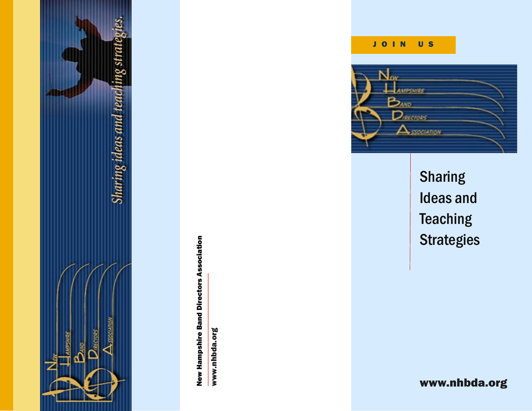

**New Hampshire Band Directors Association** New Hampshire Band Directors Association

www.nhbda.org www.nhbda.org

## J O I N U S



**Sharing** Ideas and **Teaching Strategies** 

www.nhbda.org